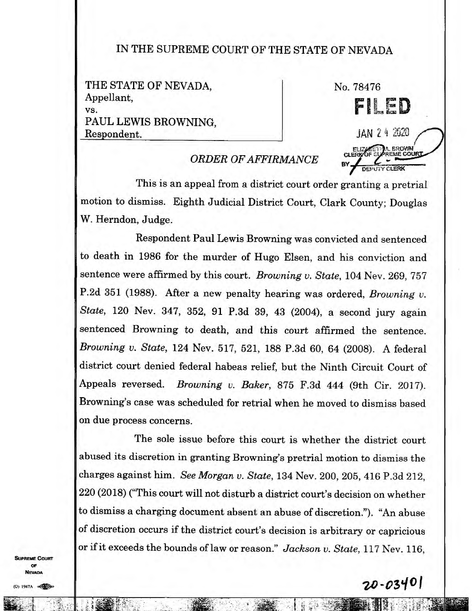## IN THE SUPREME COURT OF THE STATE OF NEVADA

THE STATE OF NEVADA, Appellant, vs. PAUL LEWIS BROWNING, Respondent.

No. 78476 **FILikLD**  JAN 24 2020 **EROWN**<br>EME COUR CLERK

## *ORDER OF AFFIRMANCE*

This is an appeal from a district court order granting a pretrial motion to dismiss. Eighth Judicial District Court, Clark County; Douglas W. Herndon, Judge.

Respondent Paul Lewis Browning was convicted and sentenced to death in 1986 for the murder of Hugo Elsen, and his conviction and sentence were affirmed by this court. *Browning u. State,* 104 Nev. 269, 757 P.2d 351 (1988). After a new penalty hearing was ordered, *Browning v. State,* 120 Nev. 347, 352, 91 P.3d 39, 43 (2004), a second jury again sentenced Browning to death, and this court affirmed the sentence. *Browning v. State,* 124 Nev. 517, 521, 188 P.3d 60, 64 (2008). A federal district court denied federal habeas relief, but the Ninth Circuit Court of Appeals reversed. *Browning v. Baker,* 875 F.3d 444 (9th Cir. 2017). Browning's case was scheduled for retrial when he moved to dismiss based on due process concerns.

The sole issue before this court is whether the district court abused its discretion in granting Browning's pretrial motion to dismiss the charges against him. *See Morgan v. State,* 134 Nev. 200, 205, 416 P.3d 212, 220 (2018) ("This court will not disturb a district court's decision on whether to dismiss a charging document absent an abuse of discretion."). "An abuse of discretion occurs if the district court's decision is arbitrary or capricious or if it exceeds the bounds of law or reason." *Jackson v. State,* 117 Nev. 116,

**REME COURT** OF NEvana

1947A

tll i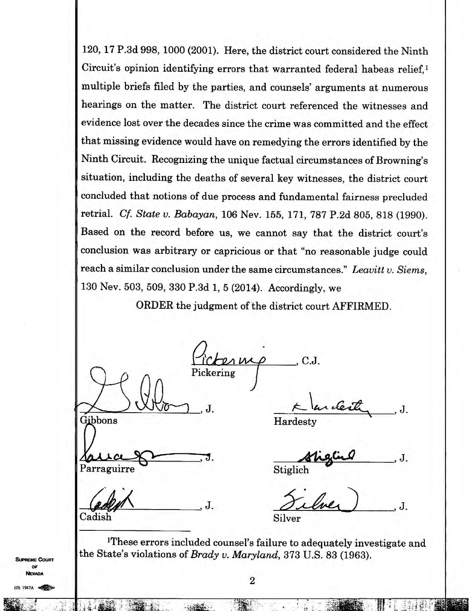120, 17 P.3d 998, 1000 (2001). Here, the district court considered the Ninth Circuit's opinion identifying errors that warranted federal habeas relief, $<sup>1</sup>$ </sup> multiple briefs filed by the parties, and counsels' arguments at numerous hearings on the matter. The district court referenced the witnesses and evidence lost over the decades since the crime was committed and the effect that missing evidence would have on remedying the errors identified by the Ninth Circuit. Recognizing the unique factual circumstances of Browning's situation, including the deaths of several key witnesses, the district court concluded that notions of due process and fundamental fairness precluded retrial. *Cf. State v. Babayan,* 106 Nev. 155, 171, 787 P.2d 805, 818 (1990). Based on the record before us, we cannot say that the district court's conclusion was arbitrary or capricious or that "no reasonable judge could reach a similar conclusion under the same circumstances." *Leavitt v. Siems,*  130 Nev. 503, 509, 330 P.3d 1, 5 (2014). Accordingly, we

ORDER the judgment of the district court AFFIRMED.

C.J. Pickering  $J.$   $\sim$  arcent,  $J.$ Gibbons Hardesty **",41.411.4.4 ,** J. J. Parraguirre Stiglich J. J. Cadish Silver

<sup>1</sup>These errors included counsel's failure to adequately investigate and the State's violations of *Brady v. Maryland,* 373 U.S. 83 (1963).

**SUPREME COURT OF NEVADA** 

1947A 04104

- ;!.

 $\mathbb{R}$  :  $\mathbb{R}^n$